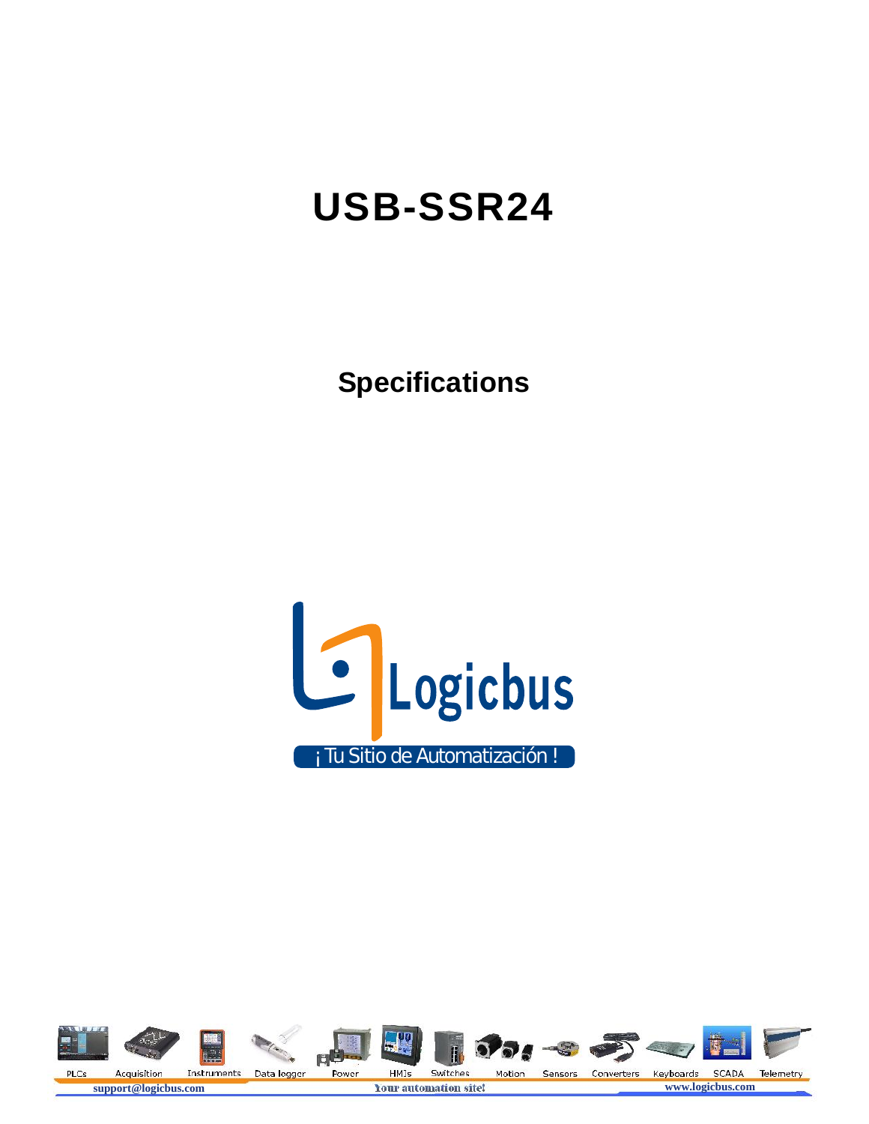# **USB-SSR24**

**Specifications**



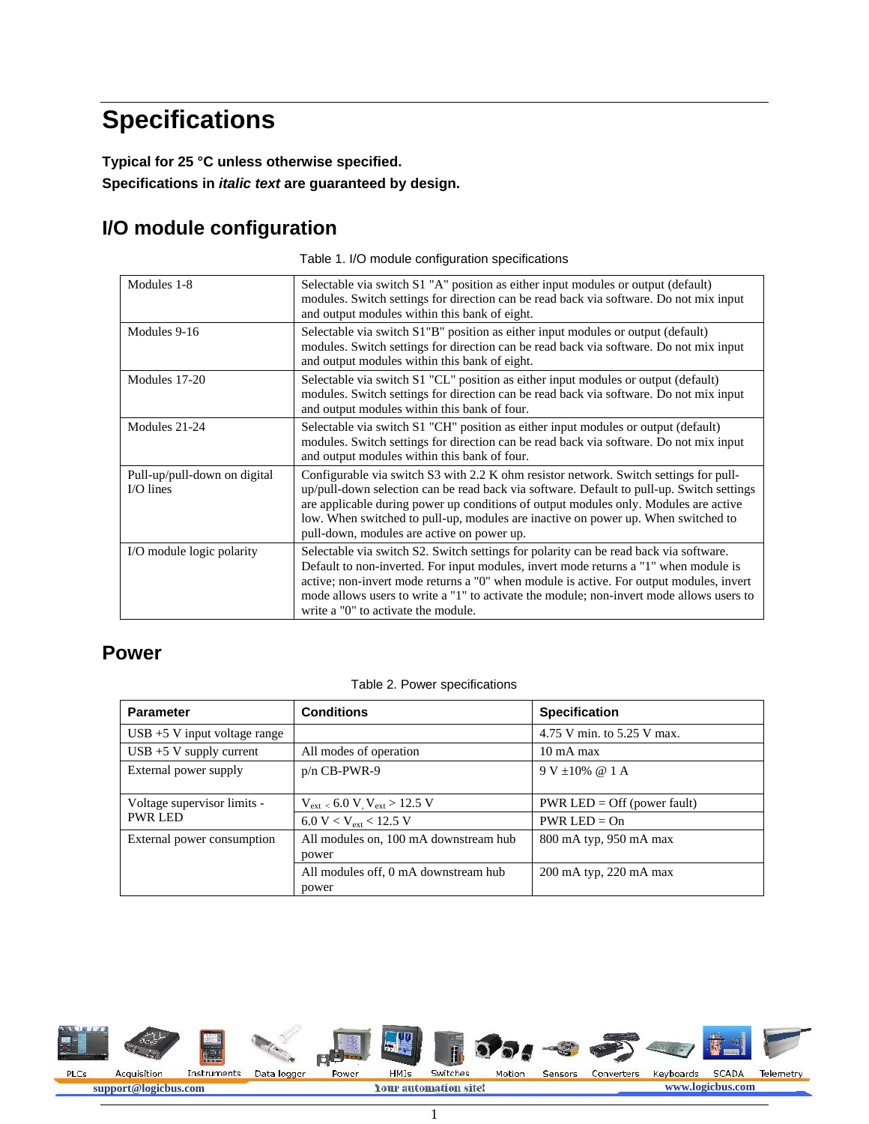## **Specifications**

**Typical for 25 °C unless otherwise specified. Specifications in** *italic text* **are guaranteed by design.**

#### **I/O module configuration**

Table 1. I/O module configuration specifications

| Modules 1-8                                | Selectable via switch S1 "A" position as either input modules or output (default)<br>modules. Switch settings for direction can be read back via software. Do not mix input<br>and output modules within this bank of eight.                                                                                                                                                                                  |
|--------------------------------------------|---------------------------------------------------------------------------------------------------------------------------------------------------------------------------------------------------------------------------------------------------------------------------------------------------------------------------------------------------------------------------------------------------------------|
| Modules 9-16                               | Selectable via switch S1"B" position as either input modules or output (default)<br>modules. Switch settings for direction can be read back via software. Do not mix input<br>and output modules within this bank of eight.                                                                                                                                                                                   |
| Modules 17-20                              | Selectable via switch S1 "CL" position as either input modules or output (default)<br>modules. Switch settings for direction can be read back via software. Do not mix input<br>and output modules within this bank of four.                                                                                                                                                                                  |
| Modules 21-24                              | Selectable via switch S1 "CH" position as either input modules or output (default)<br>modules. Switch settings for direction can be read back via software. Do not mix input<br>and output modules within this bank of four.                                                                                                                                                                                  |
| Pull-up/pull-down on digital<br>$IO lines$ | Configurable via switch S3 with 2.2 K ohm resistor network. Switch settings for pull-<br>up/pull-down selection can be read back via software. Default to pull-up. Switch settings<br>are applicable during power up conditions of output modules only. Modules are active<br>low. When switched to pull-up, modules are inactive on power up. When switched to<br>pull-down, modules are active on power up. |
| I/O module logic polarity                  | Selectable via switch S2. Switch settings for polarity can be read back via software.<br>Default to non-inverted. For input modules, invert mode returns a "1" when module is<br>active; non-invert mode returns a "0" when module is active. For output modules, invert<br>mode allows users to write a "1" to activate the module; non-invert mode allows users to<br>write a "0" to activate the module.   |

#### **Power**

|  |  | Table 2. Power specifications |
|--|--|-------------------------------|
|  |  |                               |

| <b>Parameter</b>                               | <b>Conditions</b>                              | <b>Specification</b>          |
|------------------------------------------------|------------------------------------------------|-------------------------------|
| $\text{USB} + 5 \text{ V}$ input voltage range |                                                | 4.75 V min. to 5.25 V max.    |
| $\text{USB} + 5 \text{ V}$ supply current      | All modes of operation                         | $10 \text{ mA max}$           |
| External power supply                          | $p/n$ CB-PWR-9                                 | $9 V + 10\% \ @ 1 A$          |
| Voltage supervisor limits -                    | $V_{ext}$ < 6.0 V, $V_{ext}$ > 12.5 V          | $PWR LED = Off (power fault)$ |
| <b>PWR LED</b>                                 | 6.0 V < V <sub>ext</sub> < 12.5 V              | $PWR LED = On$                |
| External power consumption                     | All modules on, 100 mA downstream hub<br>power | 800 mA typ, 950 mA max        |
|                                                | All modules off, 0 mA downstream hub<br>power  | 200 mA typ, 220 mA max        |

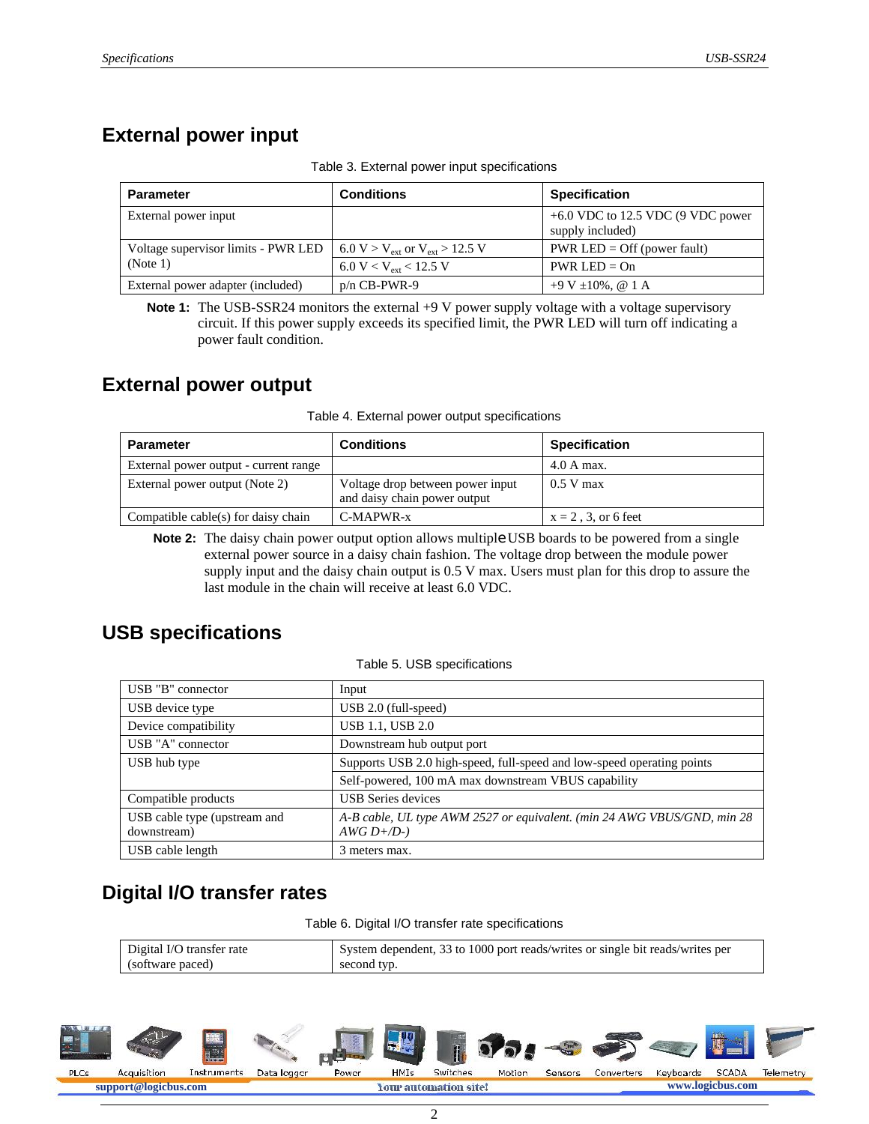#### **External power input**

| <b>Parameter</b>                    | <b>Conditions</b>                                     | <b>Specification</b>                                    |
|-------------------------------------|-------------------------------------------------------|---------------------------------------------------------|
| External power input                |                                                       | $+6.0$ VDC to 12.5 VDC (9 VDC power<br>supply included) |
| Voltage supervisor limits - PWR LED | 6.0 V > V <sub>ext</sub> or V <sub>ext</sub> > 12.5 V | $PWR LED = Off (power fault)$                           |
| (Note 1)                            | 6.0 V < V <sub>ext</sub> < 12.5 V                     | $PWR LED = On$                                          |
| External power adapter (included)   | $p/n$ CB-PWR-9                                        | $+9$ V $\pm 10\%$ , @ 1 A                               |

Table 3. External power input specifications

**Note 1:** The USB-SSR24 monitors the external +9 V power supply voltage with a voltage supervisory circuit. If this power supply exceeds its specified limit, the PWR LED will turn off indicating a power fault condition.

#### **External power output**

|  | Table 4. External power output specifications |
|--|-----------------------------------------------|
|  |                                               |

| <b>Parameter</b>                      | Conditions                                                       | <b>Specification</b>  |
|---------------------------------------|------------------------------------------------------------------|-----------------------|
| External power output - current range |                                                                  | 4.0 A max.            |
| External power output (Note 2)        | Voltage drop between power input<br>and daisy chain power output | $0.5$ V max           |
| Compatible cable(s) for daisy chain   | C-MAPWR-x                                                        | $x = 2, 3,$ or 6 feet |

**Note 2:** The daisy chain power output option allows multiple USB boards to be powered from a single external power source in a daisy chain fashion. The voltage drop between the module power supply input and the daisy chain output is 0.5 V max. Users must plan for this drop to assure the last module in the chain will receive at least 6.0 VDC.

#### **USB specifications**

Table 5. USB specifications

| USB "B" connector                           | Input                                                                                    |
|---------------------------------------------|------------------------------------------------------------------------------------------|
| USB device type                             | $\overline{USB}$ 2.0 (full-speed)                                                        |
| Device compatibility                        | <b>USB 1.1, USB 2.0</b>                                                                  |
| USB "A" connector                           | Downstream hub output port                                                               |
| USB hub type                                | Supports USB 2.0 high-speed, full-speed and low-speed operating points                   |
|                                             | Self-powered, 100 mA max downstream VBUS capability                                      |
| Compatible products                         | <b>USB</b> Series devices                                                                |
| USB cable type (upstream and<br>downstream) | A-B cable, UL type AWM 2527 or equivalent. (min 24 AWG VBUS/GND, min 28<br>$AWG D+ / D-$ |
| USB cable length                            | 3 meters max.                                                                            |

### **Digital I/O transfer rates**

Table 6. Digital I/O transfer rate specifications

| Digital I/O transfer rate | System dependent, 33 to 1000 port reads/writes or single bit reads/writes per |
|---------------------------|-------------------------------------------------------------------------------|
| (software paced)          | second typ.                                                                   |

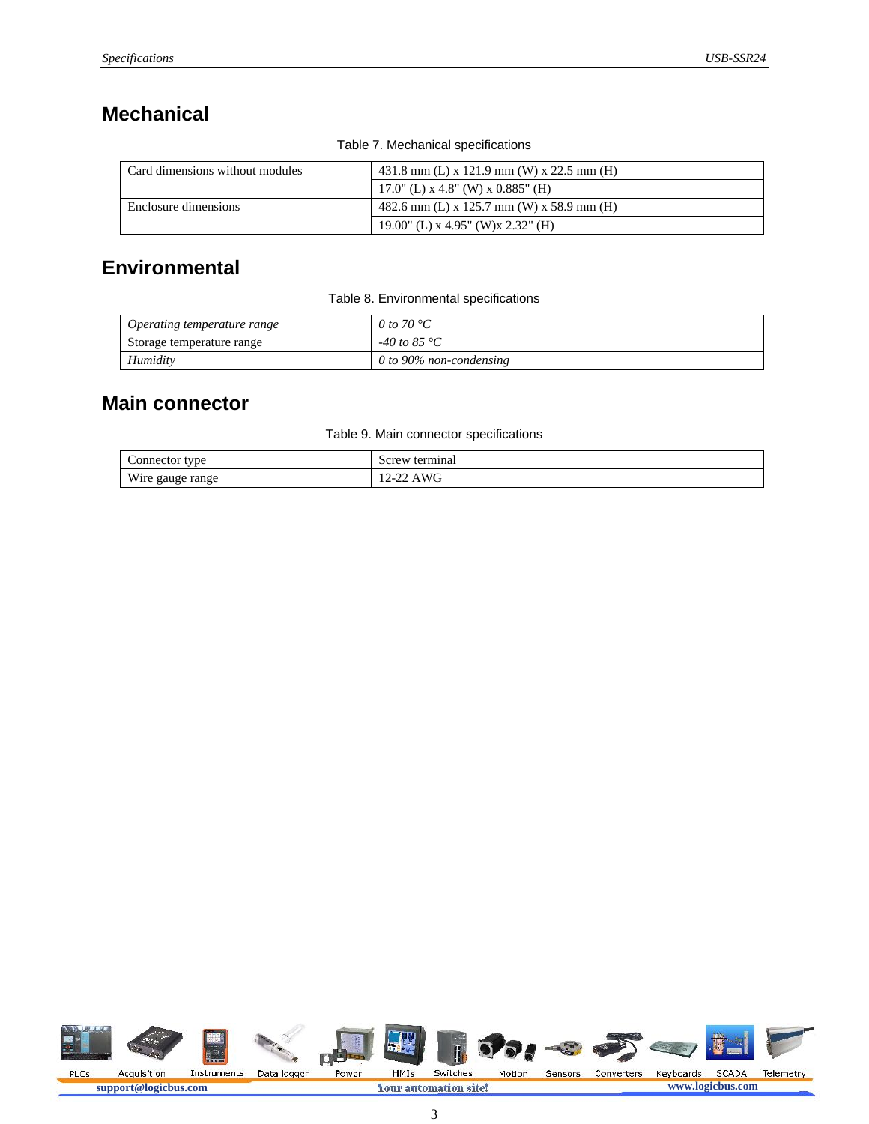#### **Mechanical**

| Card dimensions without modules | 431.8 mm (L) x 121.9 mm (W) x 22.5 mm (H) |  |
|---------------------------------|-------------------------------------------|--|
|                                 | 17.0" (L) $x$ 4.8" (W) $x$ 0.885" (H)     |  |
| Enclosure dimensions            | 482.6 mm (L) x 125.7 mm (W) x 58.9 mm (H) |  |
|                                 | 19.00" (L) x 4.95" (W)x 2.32" (H)         |  |

#### Table 7. Mechanical specifications

#### **Environmental**

Table 8. Environmental specifications

| Operating temperature range | 0 to 70 $^{\circ}C$     |
|-----------------------------|-------------------------|
| Storage temperature range   | -40 to 85 $^{\circ}C$   |
| Humidity                    | 0 to 90% non-condensing |

#### **Main connector**

Table 9. Main connector specifications

| tvpe<br>onnector                         | terminal<br>screw                               |
|------------------------------------------|-------------------------------------------------|
| W <sub>i</sub><br>range<br>wire<br>gauge | $\sim$<br>M<br>ر ۔<br>A YY U<br>$\rightarrow -$ |

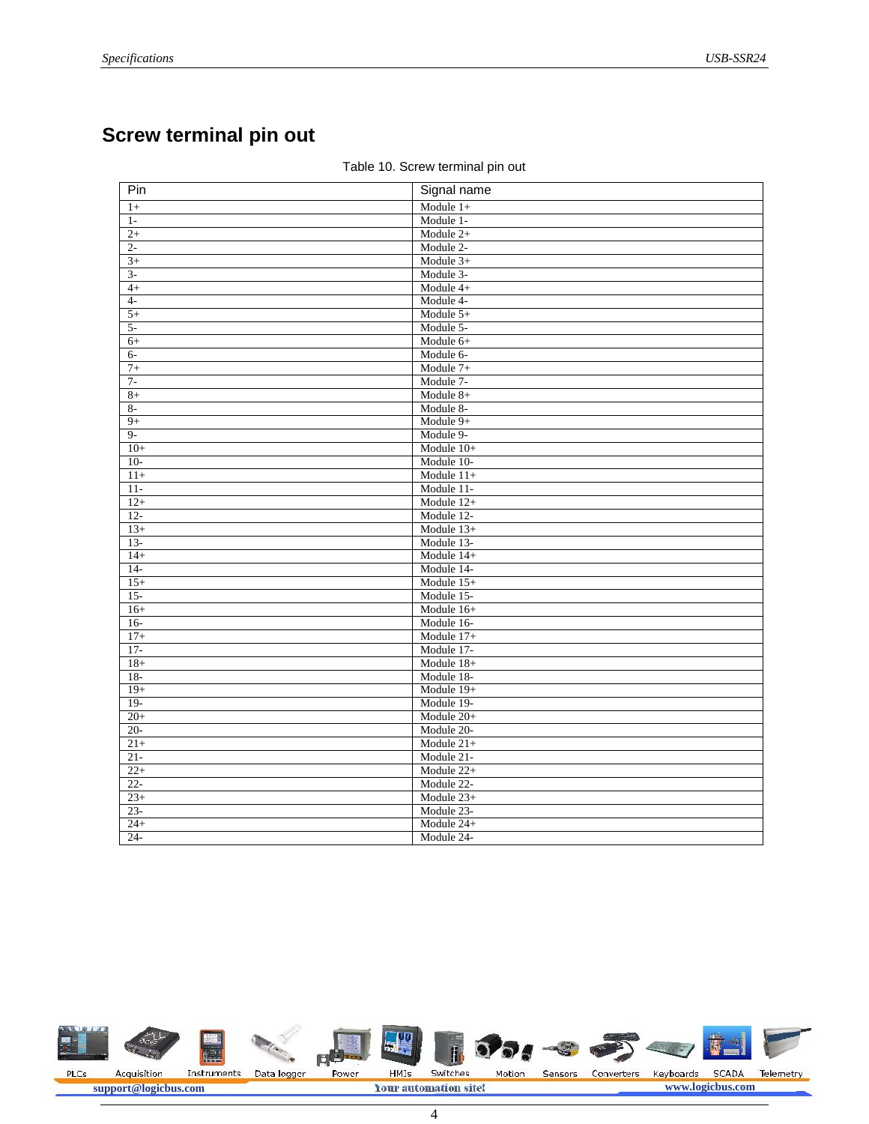## **Screw terminal pin out**

| Pin    | Signal name  |
|--------|--------------|
| $1+$   | Module $1+$  |
| $1-$   | Module 1-    |
| $2+$   | Module $2+$  |
| $2-$   | Module 2-    |
| $3+$   | Module 3+    |
| $3-$   | Module 3-    |
| $4+$   | Module 4+    |
| $4-$   | Module 4-    |
| $5+$   | Module 5+    |
| $5-$   | Module 5-    |
| $6+$   | Module 6+    |
| $6-$   | Module 6-    |
| $7+$   | Module 7+    |
| $7-$   | Module 7-    |
| $8+$   | Module 8+    |
| $8-$   | Module 8-    |
| $9+$   | Module 9+    |
| $9-$   | Module 9-    |
| $10+$  | Module $10+$ |
| $10-$  | Module 10-   |
| $11+$  | Module $11+$ |
| $11 -$ | Module 11-   |
| $12+$  | Module $12+$ |
| $12 -$ | Module 12-   |
| $13+$  | Module $13+$ |
| $13-$  | Module 13-   |
| $14+$  | Module 14+   |
| $14-$  | Module 14-   |
| $15+$  | Module $15+$ |
| $15 -$ | Module 15-   |
| $16+$  | Module 16+   |
| $16-$  | Module 16-   |
| $17+$  | Module $17+$ |
| $17-$  | Module 17-   |
| $18+$  | Module $18+$ |
| $18-$  | Module 18-   |
| $19+$  | Module 19+   |
| $19-$  | Module 19-   |
| $20+$  | Module 20+   |
| $20 -$ | Module 20-   |
| $21+$  | Module $21+$ |
| $21 -$ | Module 21-   |
| $22+$  | Module 22+   |
| $22 -$ | Module 22-   |
| $23+$  | Module 23+   |
| $23 -$ | Module 23-   |
| $24+$  | Module 24+   |
| $24 -$ | Module 24-   |

#### Table 10. Screw terminal pin out